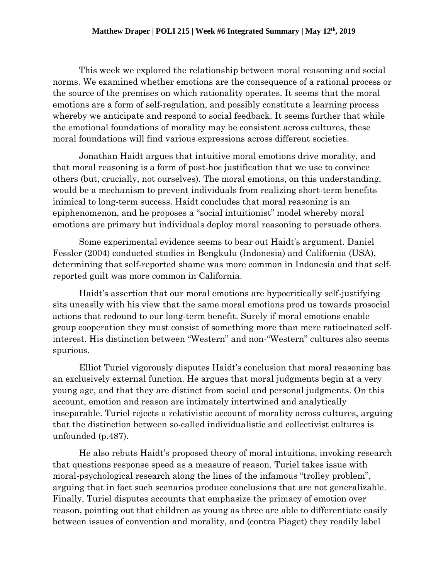This week we explored the relationship between moral reasoning and social norms. We examined whether emotions are the consequence of a rational process or the source of the premises on which rationality operates. It seems that the moral emotions are a form of self-regulation, and possibly constitute a learning process whereby we anticipate and respond to social feedback. It seems further that while the emotional foundations of morality may be consistent across cultures, these moral foundations will find various expressions across different societies.

Jonathan Haidt argues that intuitive moral emotions drive morality, and that moral reasoning is a form of post-hoc justification that we use to convince others (but, crucially, not ourselves). The moral emotions, on this understanding, would be a mechanism to prevent individuals from realizing short-term benefits inimical to long-term success. Haidt concludes that moral reasoning is an epiphenomenon, and he proposes a "social intuitionist" model whereby moral emotions are primary but individuals deploy moral reasoning to persuade others.

Some experimental evidence seems to bear out Haidt's argument. Daniel Fessler (2004) conducted studies in Bengkulu (Indonesia) and California (USA), determining that self-reported shame was more common in Indonesia and that selfreported guilt was more common in California.

Haidt's assertion that our moral emotions are hypocritically self-justifying sits uneasily with his view that the same moral emotions prod us towards prosocial actions that redound to our long-term benefit. Surely if moral emotions enable group cooperation they must consist of something more than mere ratiocinated selfinterest. His distinction between "Western" and non-"Western" cultures also seems spurious.

Elliot Turiel vigorously disputes Haidt's conclusion that moral reasoning has an exclusively external function. He argues that moral judgments begin at a very young age, and that they are distinct from social and personal judgments. On this account, emotion and reason are intimately intertwined and analytically inseparable. Turiel rejects a relativistic account of morality across cultures, arguing that the distinction between so-called individualistic and collectivist cultures is unfounded (p.487).

He also rebuts Haidt's proposed theory of moral intuitions, invoking research that questions response speed as a measure of reason. Turiel takes issue with moral-psychological research along the lines of the infamous "trolley problem", arguing that in fact such scenarios produce conclusions that are not generalizable. Finally, Turiel disputes accounts that emphasize the primacy of emotion over reason, pointing out that children as young as three are able to differentiate easily between issues of convention and morality, and (contra Piaget) they readily label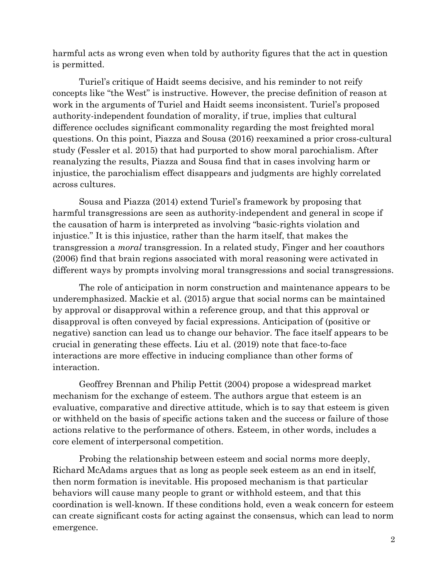harmful acts as wrong even when told by authority figures that the act in question is permitted.

Turiel's critique of Haidt seems decisive, and his reminder to not reify concepts like "the West" is instructive. However, the precise definition of reason at work in the arguments of Turiel and Haidt seems inconsistent. Turiel's proposed authority-independent foundation of morality, if true, implies that cultural difference occludes significant commonality regarding the most freighted moral questions. On this point, Piazza and Sousa (2016) reexamined a prior cross-cultural study (Fessler et al. 2015) that had purported to show moral parochialism. After reanalyzing the results, Piazza and Sousa find that in cases involving harm or injustice, the parochialism effect disappears and judgments are highly correlated across cultures.

Sousa and Piazza (2014) extend Turiel's framework by proposing that harmful transgressions are seen as authority-independent and general in scope if the causation of harm is interpreted as involving "basic-rights violation and injustice." It is this injustice, rather than the harm itself, that makes the transgression a *moral* transgression. In a related study, Finger and her coauthors (2006) find that brain regions associated with moral reasoning were activated in different ways by prompts involving moral transgressions and social transgressions.

The role of anticipation in norm construction and maintenance appears to be underemphasized. Mackie et al. (2015) argue that social norms can be maintained by approval or disapproval within a reference group, and that this approval or disapproval is often conveyed by facial expressions. Anticipation of (positive or negative) sanction can lead us to change our behavior. The face itself appears to be crucial in generating these effects. Liu et al. (2019) note that face-to-face interactions are more effective in inducing compliance than other forms of interaction.

Geoffrey Brennan and Philip Pettit (2004) propose a widespread market mechanism for the exchange of esteem. The authors argue that esteem is an evaluative, comparative and directive attitude, which is to say that esteem is given or withheld on the basis of specific actions taken and the success or failure of those actions relative to the performance of others. Esteem, in other words, includes a core element of interpersonal competition.

Probing the relationship between esteem and social norms more deeply, Richard McAdams argues that as long as people seek esteem as an end in itself, then norm formation is inevitable. His proposed mechanism is that particular behaviors will cause many people to grant or withhold esteem, and that this coordination is well-known. If these conditions hold, even a weak concern for esteem can create significant costs for acting against the consensus, which can lead to norm emergence.